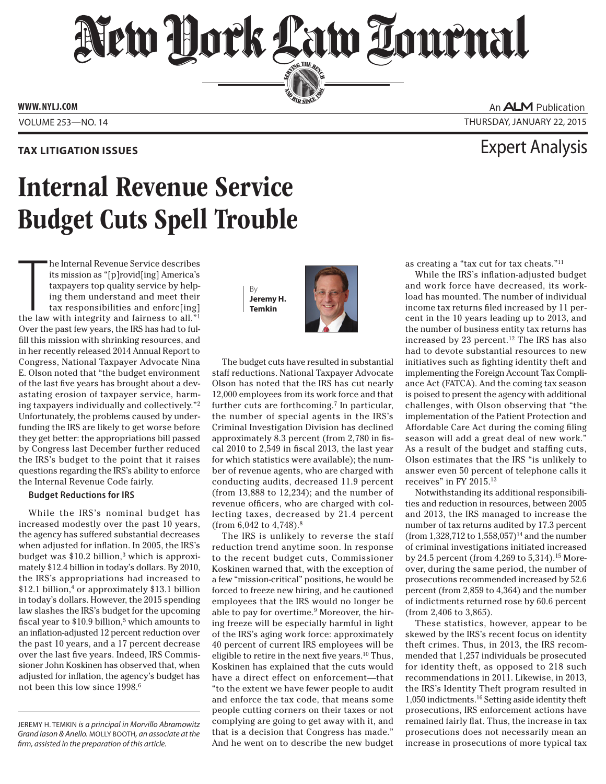New Dock Law Lournal SERVING THE BET

**ED BAR SINCE 1888** 

**www. NYLJ.com**

VOLUME 253—NO. 14 thursday, january 22, 2015

### **Tax Litigation Issues** Expert Analysis

# Internal Revenue Service Budget Cuts Spell Trouble

he Internal Revenue Service describes<br>
its mission as "[p]rovid[ing] America's<br>
taxpayers top quality service by help-<br>
ing them understand and meet their<br>
tax responsibilities and enforc[ing]<br>
the law with integrity and f he Internal Revenue Service describes its mission as "[p]rovid[ing] America's taxpayers top quality service by helping them understand and meet their tax responsibilities and enforc[ing] Over the past few years, the IRS has had to fulfill this mission with shrinking resources, and in her recently released 2014 Annual Report to Congress, National Taxpayer Advocate Nina E. Olson noted that "the budget environment of the last five years has brought about a devastating erosion of taxpayer service, harming taxpayers individually and collectively."2 Unfortunately, the problems caused by underfunding the IRS are likely to get worse before they get better: the appropriations bill passed by Congress last December further reduced the IRS's budget to the point that it raises questions regarding the IRS's ability to enforce the Internal Revenue Code fairly.

### **Budget Reductions for IRS**

While the IRS's nominal budget has increased modestly over the past 10 years, the agency has suffered substantial decreases when adjusted for inflation. In 2005, the IRS's budget was \$10.2 billion,<sup>3</sup> which is approximately \$12.4 billion in today's dollars. By 2010, the IRS's appropriations had increased to  $$12.1$  billion,<sup>4</sup> or approximately \$13.1 billion in today's dollars. However, the 2015 spending law slashes the IRS's budget for the upcoming fiscal year to  $$10.9$  billion,<sup>5</sup> which amounts to an inflation-adjusted 12 percent reduction over the past 10 years, and a 17 percent decrease over the last five years. Indeed, IRS Commissioner John Koskinen has observed that, when adjusted for inflation, the agency's budget has not been this low since 1998.6

By **Jeremy H. Temkin**



The budget cuts have resulted in substantial staff reductions. National Taxpayer Advocate Olson has noted that the IRS has cut nearly 12,000 employees from its work force and that further cuts are forthcoming.<sup>7</sup> In particular, the number of special agents in the IRS's Criminal Investigation Division has declined approximately 8.3 percent (from 2,780 in fiscal 2010 to 2,549 in fiscal 2013, the last year for which statistics were available); the number of revenue agents, who are charged with conducting audits, decreased 11.9 percent (from 13,888 to 12,234); and the number of revenue officers, who are charged with collecting taxes, decreased by 21.4 percent (from 6,042 to 4,748).8

The IRS is unlikely to reverse the staff reduction trend anytime soon. In response to the recent budget cuts, Commissioner Koskinen warned that, with the exception of a few "mission-critical" positions, he would be forced to freeze new hiring, and he cautioned employees that the IRS would no longer be able to pay for overtime.<sup>9</sup> Moreover, the hiring freeze will be especially harmful in light of the IRS's aging work force: approximately 40 percent of current IRS employees will be eligible to retire in the next five years.<sup>10</sup> Thus, Koskinen has explained that the cuts would have a direct effect on enforcement—that "to the extent we have fewer people to audit and enforce the tax code, that means some people cutting corners on their taxes or not complying are going to get away with it, and that is a decision that Congress has made." And he went on to describe the new budget

as creating a "tax cut for tax cheats."11

While the IRS's inflation-adjusted budget and work force have decreased, its workload has mounted. The number of individual income tax returns filed increased by 11 percent in the 10 years leading up to 2013, and the number of business entity tax returns has increased by 23 percent.<sup>12</sup> The IRS has also had to devote substantial resources to new initiatives such as fighting identity theft and implementing the Foreign Account Tax Compliance Act (FATCA). And the coming tax season is poised to present the agency with additional challenges, with Olson observing that "the implementation of the Patient Protection and Affordable Care Act during the coming filing season will add a great deal of new work." As a result of the budget and staffing cuts, Olson estimates that the IRS "is unlikely to answer even 50 percent of telephone calls it receives" in FY 2015.13

Notwithstanding its additional responsibilities and reduction in resources, between 2005 and 2013, the IRS managed to increase the number of tax returns audited by 17.3 percent (from 1,328,712 to 1,558,057)<sup>14</sup> and the number of criminal investigations initiated increased by 24.5 percent (from  $4,269$  to  $5,314$ ).<sup>15</sup> Moreover, during the same period, the number of prosecutions recommended increased by 52.6 percent (from 2,859 to 4,364) and the number of indictments returned rose by 60.6 percent (from 2,406 to 3,865).

These statistics, however, appear to be skewed by the IRS's recent focus on identity theft crimes. Thus, in 2013, the IRS recommended that 1,257 individuals be prosecuted for identity theft, as opposed to 218 such recommendations in 2011. Likewise, in 2013, the IRS's Identity Theft program resulted in 1,050 indictments.16 Setting aside identity theft prosecutions, IRS enforcement actions have remained fairly flat. Thus, the increase in tax prosecutions does not necessarily mean an increase in prosecutions of more typical tax

## An **ALM** Publication

Jeremy H. Temkin *is a principal in Morvillo Abramowitz Grand Iason & Anello.* Molly Booth*, an associate at the firm, assisted in the preparation of this article.*